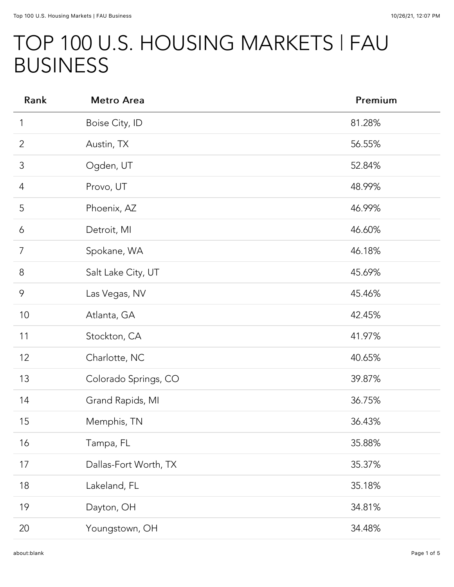## TOP 100 U.S. HOUSING MARKETS | FAU BUSINESS

| Rank           | <b>Metro Area</b>     | Premium |
|----------------|-----------------------|---------|
| 1              | Boise City, ID        | 81.28%  |
| $\overline{2}$ | Austin, TX            | 56.55%  |
| 3              | Ogden, UT             | 52.84%  |
| 4              | Provo, UT             | 48.99%  |
| 5              | Phoenix, AZ           | 46.99%  |
| 6              | Detroit, MI           | 46.60%  |
| $\overline{7}$ | Spokane, WA           | 46.18%  |
| $\,8\,$        | Salt Lake City, UT    | 45.69%  |
| 9              | Las Vegas, NV         | 45.46%  |
| 10             | Atlanta, GA           | 42.45%  |
| 11             | Stockton, CA          | 41.97%  |
| 12             | Charlotte, NC         | 40.65%  |
| 13             | Colorado Springs, CO  | 39.87%  |
| 14             | Grand Rapids, MI      | 36.75%  |
| 15             | Memphis, TN           | 36.43%  |
| 16             | Tampa, FL             | 35.88%  |
| 17             | Dallas-Fort Worth, TX | 35.37%  |
| 18             | Lakeland, FL          | 35.18%  |
| 19             | Dayton, OH            | 34.81%  |
| 20             | Youngstown, OH        | 34.48%  |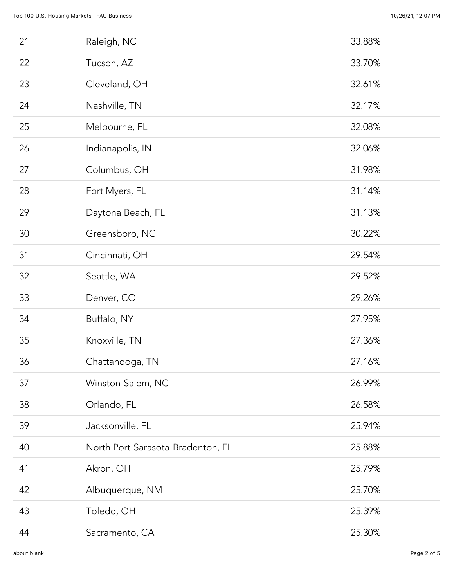| 21 | Raleigh, NC                       | 33.88% |
|----|-----------------------------------|--------|
| 22 | Tucson, AZ                        | 33.70% |
| 23 | Cleveland, OH                     | 32.61% |
| 24 | Nashville, TN                     | 32.17% |
| 25 | Melbourne, FL                     | 32.08% |
| 26 | Indianapolis, IN                  | 32.06% |
| 27 | Columbus, OH                      | 31.98% |
| 28 | Fort Myers, FL                    | 31.14% |
| 29 | Daytona Beach, FL                 | 31.13% |
| 30 | Greensboro, NC                    | 30.22% |
| 31 | Cincinnati, OH                    | 29.54% |
| 32 | Seattle, WA                       | 29.52% |
| 33 | Denver, CO                        | 29.26% |
| 34 | Buffalo, NY                       | 27.95% |
| 35 | Knoxville, TN                     | 27.36% |
| 36 | Chattanooga, TN                   | 27.16% |
| 37 | Winston-Salem, NC                 | 26.99% |
| 38 | Orlando, FL                       | 26.58% |
| 39 | Jacksonville, FL                  | 25.94% |
| 40 | North Port-Sarasota-Bradenton, FL | 25.88% |
| 41 | Akron, OH                         | 25.79% |
| 42 | Albuquerque, NM                   | 25.70% |
| 43 | Toledo, OH                        | 25.39% |
| 44 | Sacramento, CA                    | 25.30% |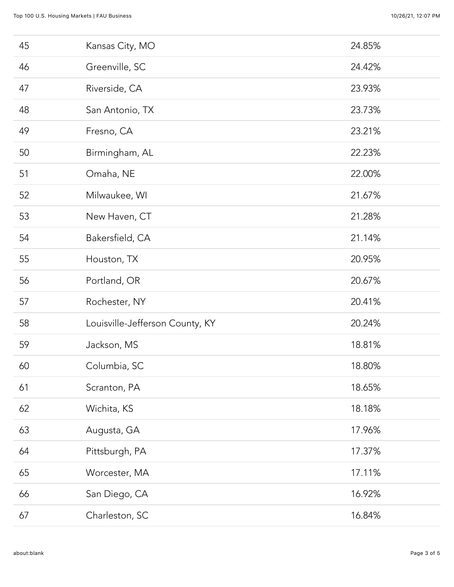| 45 | Kansas City, MO                 | 24.85% |
|----|---------------------------------|--------|
| 46 | Greenville, SC                  | 24.42% |
| 47 | Riverside, CA                   | 23.93% |
| 48 | San Antonio, TX                 | 23.73% |
| 49 | Fresno, CA                      | 23.21% |
| 50 | Birmingham, AL                  | 22.23% |
| 51 | Omaha, NE                       | 22.00% |
| 52 | Milwaukee, WI                   | 21.67% |
| 53 | New Haven, CT                   | 21.28% |
| 54 | Bakersfield, CA                 | 21.14% |
| 55 | Houston, TX                     | 20.95% |
| 56 | Portland, OR                    | 20.67% |
| 57 | Rochester, NY                   | 20.41% |
| 58 | Louisville-Jefferson County, KY | 20.24% |
| 59 | Jackson, MS                     | 18.81% |
| 60 | Columbia, SC                    | 18.80% |
| 61 | Scranton, PA                    | 18.65% |
| 62 | Wichita, KS                     | 18.18% |
| 63 | Augusta, GA                     | 17.96% |
| 64 | Pittsburgh, PA                  | 17.37% |
| 65 | Worcester, MA                   | 17.11% |
| 66 | San Diego, CA                   | 16.92% |
| 67 | Charleston, SC                  | 16.84% |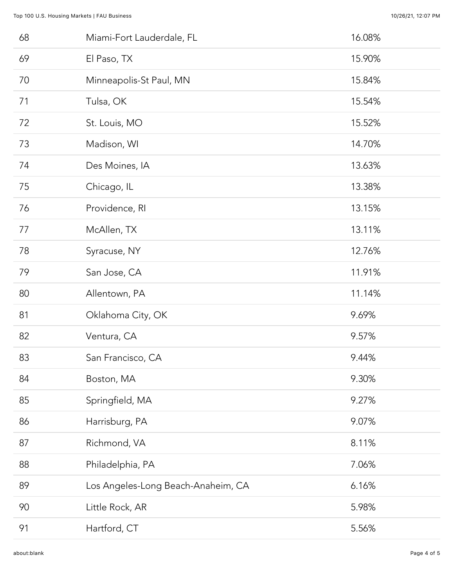| 68 | Miami-Fort Lauderdale, FL          | 16.08% |
|----|------------------------------------|--------|
| 69 | El Paso, TX                        | 15.90% |
| 70 | Minneapolis-St Paul, MN            | 15.84% |
| 71 | Tulsa, OK                          | 15.54% |
| 72 | St. Louis, MO                      | 15.52% |
| 73 | Madison, WI                        | 14.70% |
| 74 | Des Moines, IA                     | 13.63% |
| 75 | Chicago, IL                        | 13.38% |
| 76 | Providence, RI                     | 13.15% |
| 77 | McAllen, TX                        | 13.11% |
| 78 | Syracuse, NY                       | 12.76% |
| 79 | San Jose, CA                       | 11.91% |
| 80 | Allentown, PA                      | 11.14% |
| 81 | Oklahoma City, OK                  | 9.69%  |
| 82 | Ventura, CA                        | 9.57%  |
| 83 | San Francisco, CA                  | 9.44%  |
| 84 | Boston, MA                         | 9.30%  |
| 85 | Springfield, MA                    | 9.27%  |
| 86 | Harrisburg, PA                     | 9.07%  |
| 87 | Richmond, VA                       | 8.11%  |
| 88 | Philadelphia, PA                   | 7.06%  |
| 89 | Los Angeles-Long Beach-Anaheim, CA | 6.16%  |
| 90 | Little Rock, AR                    | 5.98%  |
| 91 | Hartford, CT                       | 5.56%  |